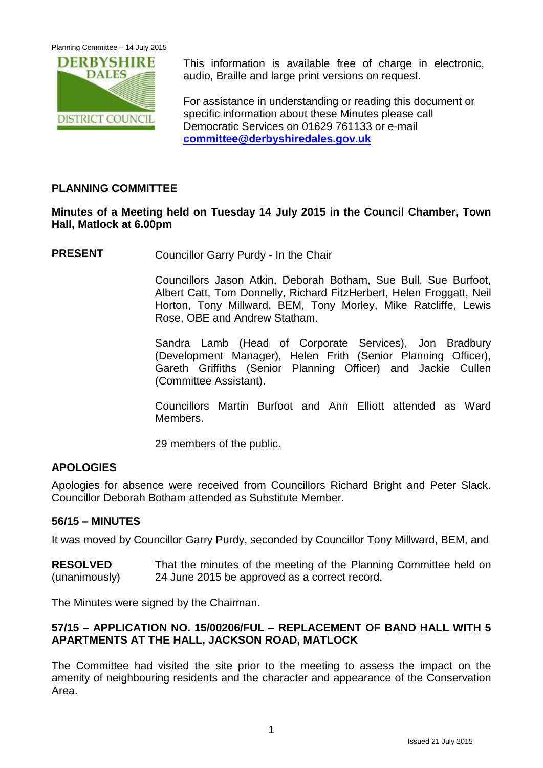Planning Committee – 14 July 2015



This information is available free of charge in electronic, audio, Braille and large print versions on request.

For assistance in understanding or reading this document or specific information about these Minutes please call Democratic Services on 01629 761133 or e-mail **[committee@derbyshiredales.gov.uk](mailto:committee@derbyshiredales.gov.uk)**

# **PLANNING COMMITTEE**

# **Minutes of a Meeting held on Tuesday 14 July 2015 in the Council Chamber, Town Hall, Matlock at 6.00pm**

**PRESENT** Councillor Garry Purdy - In the Chair

Councillors Jason Atkin, Deborah Botham, Sue Bull, Sue Burfoot, Albert Catt, Tom Donnelly, Richard FitzHerbert, Helen Froggatt, Neil Horton, Tony Millward, BEM, Tony Morley, Mike Ratcliffe, Lewis Rose, OBE and Andrew Statham.

Sandra Lamb (Head of Corporate Services), Jon Bradbury (Development Manager), Helen Frith (Senior Planning Officer), Gareth Griffiths (Senior Planning Officer) and Jackie Cullen (Committee Assistant).

Councillors Martin Burfoot and Ann Elliott attended as Ward Members.

29 members of the public.

## **APOLOGIES**

Apologies for absence were received from Councillors Richard Bright and Peter Slack. Councillor Deborah Botham attended as Substitute Member.

#### **56/15 – MINUTES**

It was moved by Councillor Garry Purdy, seconded by Councillor Tony Millward, BEM, and

**RESOLVED** (unanimously) That the minutes of the meeting of the Planning Committee held on 24 June 2015 be approved as a correct record.

The Minutes were signed by the Chairman.

## **57/15 – APPLICATION NO. 15/00206/FUL – REPLACEMENT OF BAND HALL WITH 5 APARTMENTS AT THE HALL, JACKSON ROAD, MATLOCK**

The Committee had visited the site prior to the meeting to assess the impact on the amenity of neighbouring residents and the character and appearance of the Conservation Area.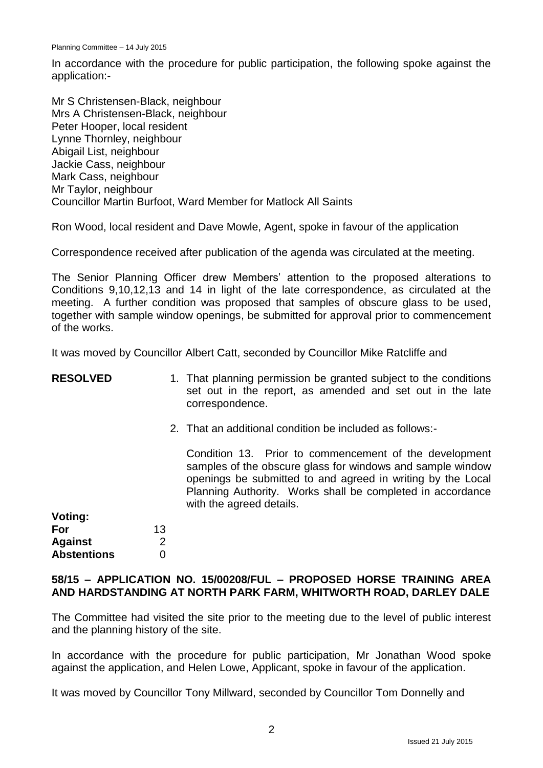In accordance with the procedure for public participation, the following spoke against the application:-

Mr S Christensen-Black, neighbour Mrs A Christensen-Black, neighbour Peter Hooper, local resident Lynne Thornley, neighbour Abigail List, neighbour Jackie Cass, neighbour Mark Cass, neighbour Mr Taylor, neighbour Councillor Martin Burfoot, Ward Member for Matlock All Saints

Ron Wood, local resident and Dave Mowle, Agent, spoke in favour of the application

Correspondence received after publication of the agenda was circulated at the meeting.

The Senior Planning Officer drew Members' attention to the proposed alterations to Conditions 9,10,12,13 and 14 in light of the late correspondence, as circulated at the meeting. A further condition was proposed that samples of obscure glass to be used, together with sample window openings, be submitted for approval prior to commencement of the works.

It was moved by Councillor Albert Catt, seconded by Councillor Mike Ratcliffe and

| <b>RESOLVED</b>    |    | 1. That planning permission be granted subject to the conditions<br>set out in the report, as amended and set out in the late<br>correspondence.                                                                                                                              |
|--------------------|----|-------------------------------------------------------------------------------------------------------------------------------------------------------------------------------------------------------------------------------------------------------------------------------|
|                    |    | 2. That an additional condition be included as follows:-                                                                                                                                                                                                                      |
|                    |    | Condition 13. Prior to commencement of the development<br>samples of the obscure glass for windows and sample window<br>openings be submitted to and agreed in writing by the Local<br>Planning Authority. Works shall be completed in accordance<br>with the agreed details. |
| <b>Voting:</b>     |    |                                                                                                                                                                                                                                                                               |
| For                | 13 |                                                                                                                                                                                                                                                                               |
| <b>Against</b>     | 2  |                                                                                                                                                                                                                                                                               |
| <b>Abstentions</b> |    |                                                                                                                                                                                                                                                                               |

### **58/15 – APPLICATION NO. 15/00208/FUL – PROPOSED HORSE TRAINING AREA AND HARDSTANDING AT NORTH PARK FARM, WHITWORTH ROAD, DARLEY DALE**

The Committee had visited the site prior to the meeting due to the level of public interest and the planning history of the site.

In accordance with the procedure for public participation, Mr Jonathan Wood spoke against the application, and Helen Lowe, Applicant, spoke in favour of the application.

It was moved by Councillor Tony Millward, seconded by Councillor Tom Donnelly and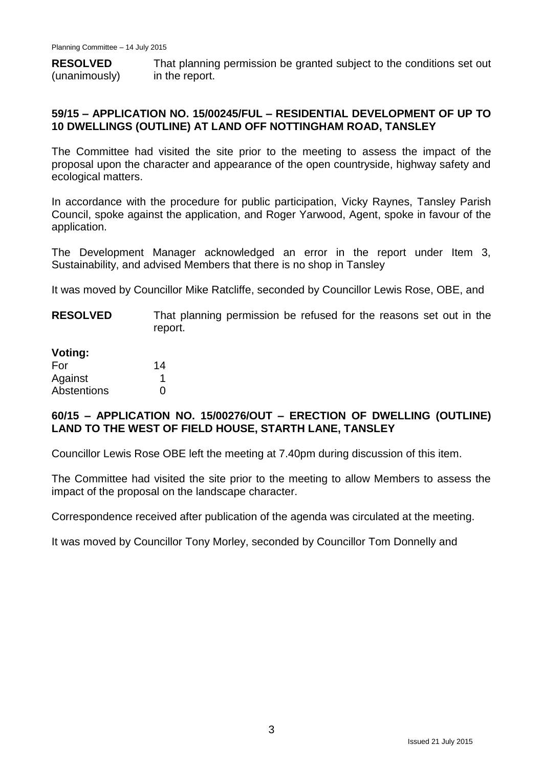**RESOLVED** (unanimously) That planning permission be granted subject to the conditions set out in the report.

## **59/15 – APPLICATION NO. 15/00245/FUL – RESIDENTIAL DEVELOPMENT OF UP TO 10 DWELLINGS (OUTLINE) AT LAND OFF NOTTINGHAM ROAD, TANSLEY**

The Committee had visited the site prior to the meeting to assess the impact of the proposal upon the character and appearance of the open countryside, highway safety and ecological matters.

In accordance with the procedure for public participation, Vicky Raynes, Tansley Parish Council, spoke against the application, and Roger Yarwood, Agent, spoke in favour of the application.

The Development Manager acknowledged an error in the report under Item 3, Sustainability, and advised Members that there is no shop in Tansley

It was moved by Councillor Mike Ratcliffe, seconded by Councillor Lewis Rose, OBE, and

**RESOLVED** That planning permission be refused for the reasons set out in the report.

| Voting:     |    |
|-------------|----|
| For         | 14 |
| Against     | 1  |
| Abstentions | O  |

## **60/15 – APPLICATION NO. 15/00276/OUT – ERECTION OF DWELLING (OUTLINE) LAND TO THE WEST OF FIELD HOUSE, STARTH LANE, TANSLEY**

Councillor Lewis Rose OBE left the meeting at 7.40pm during discussion of this item.

The Committee had visited the site prior to the meeting to allow Members to assess the impact of the proposal on the landscape character.

Correspondence received after publication of the agenda was circulated at the meeting.

It was moved by Councillor Tony Morley, seconded by Councillor Tom Donnelly and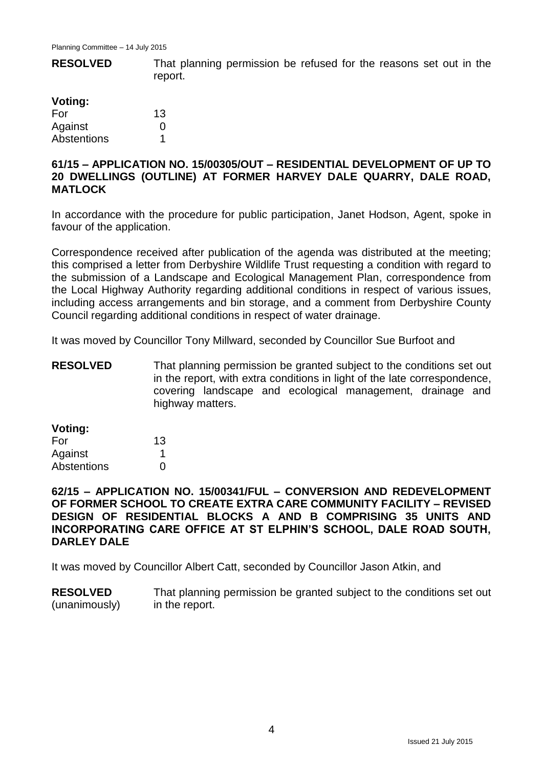**RESOLVED Voting:** That planning permission be refused for the reasons set out in the report.

| voung:      |    |
|-------------|----|
| For         | 13 |
| Against     | O  |
| Abstentions | 1  |

### **61/15 – APPLICATION NO. 15/00305/OUT – RESIDENTIAL DEVELOPMENT OF UP TO 20 DWELLINGS (OUTLINE) AT FORMER HARVEY DALE QUARRY, DALE ROAD, MATLOCK**

In accordance with the procedure for public participation, Janet Hodson, Agent, spoke in favour of the application.

Correspondence received after publication of the agenda was distributed at the meeting; this comprised a letter from Derbyshire Wildlife Trust requesting a condition with regard to the submission of a Landscape and Ecological Management Plan, correspondence from the Local Highway Authority regarding additional conditions in respect of various issues, including access arrangements and bin storage, and a comment from Derbyshire County Council regarding additional conditions in respect of water drainage.

It was moved by Councillor Tony Millward, seconded by Councillor Sue Burfoot and

**RESOLVED** That planning permission be granted subject to the conditions set out in the report, with extra conditions in light of the late correspondence, covering landscape and ecological management, drainage and highway matters.

| Voting: |  |  |
|---------|--|--|
|         |  |  |

| For         | 13 |
|-------------|----|
| Against     |    |
| Abstentions | O  |

**62/15 – APPLICATION NO. 15/00341/FUL – CONVERSION AND REDEVELOPMENT OF FORMER SCHOOL TO CREATE EXTRA CARE COMMUNITY FACILITY – REVISED DESIGN OF RESIDENTIAL BLOCKS A AND B COMPRISING 35 UNITS AND INCORPORATING CARE OFFICE AT ST ELPHIN'S SCHOOL, DALE ROAD SOUTH, DARLEY DALE**

It was moved by Councillor Albert Catt, seconded by Councillor Jason Atkin, and

**RESOLVED** (unanimously) That planning permission be granted subject to the conditions set out in the report.